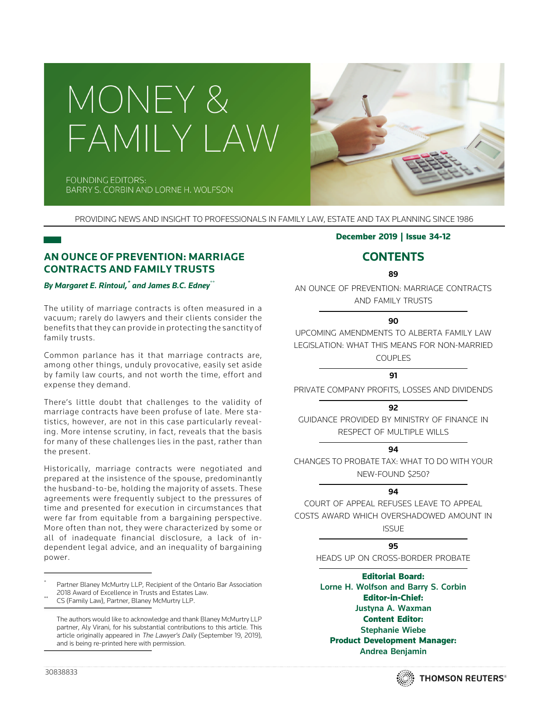



**FOUNDING EDITORS:** BARRY S. CORBIN AND LORNE H. WOLFSON

PROVIDING NEWS AND INSIGHT TO PROFESSIONALS IN FAMILY LAW, ESTATE AND TAX PLANNING SINCE 1986

# **AN OUNCE OF PREVENTION: MARRIAGE CONTRACTS AND FAMILY TRUSTS**

*By Margaret E. Rintoul,\* and James B.C. Edney*\*\*

The utility of marriage contracts is often measured in a vacuum; rarely do lawyers and their clients consider the benefits that they can provide in protecting the sanctity of family trusts.

Common parlance has it that marriage contracts are, among other things, unduly provocative, easily set aside by family law courts, and not worth the time, effort and expense they demand.

There's little doubt that challenges to the validity of marriage contracts have been profuse of late. Mere statistics, however, are not in this case particularly revealing. More intense scrutiny, in fact, reveals that the basis for many of these challenges lies in the past, rather than the present.

Historically, marriage contracts were negotiated and prepared at the insistence of the spouse, predominantly the husband-to-be, holding the majority of assets. These agreements were frequently subject to the pressures of time and presented for execution in circumstances that were far from equitable from a bargaining perspective. More often than not, they were characterized by some or all of inadequate financial disclosure, a lack of independent legal advice, and an inequality of bargaining power.

Partner Blaney McMurtry LLP, Recipient of the Ontario Bar Association<br>2018 Award of Excellence in Trusts and Estates Law.

The authors would like to acknowledge and thank Blaney McMurtry LLP partner, Aly Virani, for his substantial contributions to this article. This article originally appeared in The Lawyer's Daily (September 19, 2019), and is being re-printed here with permission.

## December 2019 | Issue 34-12

# **CONTENTS**

**89**

AN OUNCE OF PREVENTION: MARRIAGE CONTRACTS AND FAMILY TRUSTS

# **90**

UPCOMING AMENDMENTS TO ALBERTA FAMILY LAW LEGISLATION: WHAT THIS MEANS FOR NON-MARRIED COUPLES

# **91**

PRIVATE COMPANY PROFITS, LOSSES AND DIVIDENDS

## **92**

GUIDANCE PROVIDED BY MINISTRY OF FINANCE IN RESPECT OF MULTIPLE WILLS

# **94**

CHANGES TO PROBATE TAX: WHAT TO DO WITH YOUR NEW-FOUND \$250?

# **94**

COURT OF APPEAL REFUSES LEAVE TO APPEAL COSTS AWARD WHICH OVERSHADOWED AMOUNT IN ISSUE

# **95**

HEADS UP ON CROSS-BORDER PROBATE

Editorial Board:

Lorne H. Wolfson and Barry S. Corbin Editor-in-Chief: Justyna A. Waxman Content Editor: Stephanie Wiebe Product Development Manager: Andrea Benjamin



CS (Family Law), Partner, Blaney McMurtry LLP.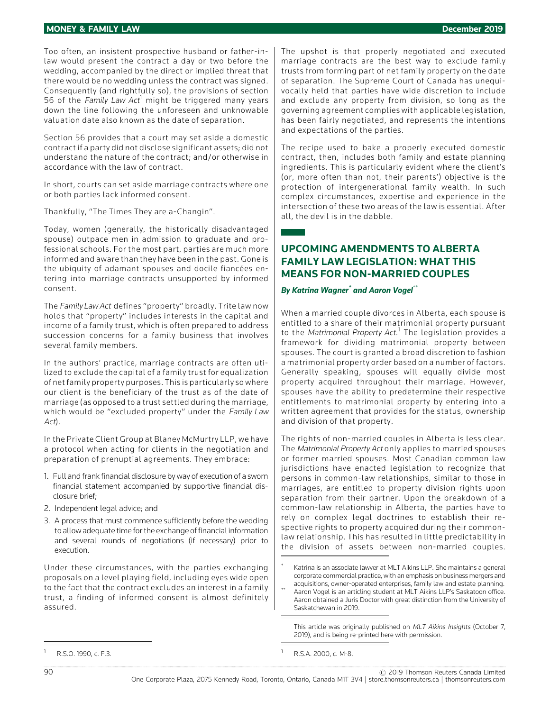Too often, an insistent prospective husband or father-inlaw would present the contract a day or two before the wedding, accompanied by the direct or implied threat that there would be no wedding unless the contract was signed. Consequently (and rightfully so), the provisions of section 56 of the Family Law Act<sup>1</sup> might be triggered many years down the line following the unforeseen and unknowable valuation date also known as the date of separation.

Section 56 provides that a court may set aside a domestic contract if a party did not disclose significant assets; did not understand the nature of the contract; and/or otherwise in accordance with the law of contract.

In short, courts can set aside marriage contracts where one or both parties lack informed consent.

Thankfully, "The Times They are a-Changin".

Today, women (generally, the historically disadvantaged spouse) outpace men in admission to graduate and professional schools. For the most part, parties are much more informed and aware than they have been in the past. Gone is the ubiquity of adamant spouses and docile fiancées entering into marriage contracts unsupported by informed consent.

The Family Law Act defines "property" broadly. Trite law now holds that "property" includes interests in the capital and income of a family trust, which is often prepared to address succession concerns for a family business that involves several family members.

In the authors' practice, marriage contracts are often utilized to exclude the capital of a family trust for equalization of net family property purposes. This is particularly so where our client is the beneficiary of the trust as of the date of marriage (as opposed to a trust settled during the marriage, which would be "excluded property" under the Family Law Act).

In the Private Client Group at Blaney McMurtry LLP, we have a protocol when acting for clients in the negotiation and preparation of prenuptial agreements. They embrace:

- 1. Full and frank financial disclosure by way of execution of a sworn financial statement accompanied by supportive financial disclosure brief;
- 2. Independent legal advice; and
- 3. A process that must commence sufficiently before the wedding to allow adequate time for the exchange of financial information and several rounds of negotiations (if necessary) prior to execution.

Under these circumstances, with the parties exchanging proposals on a level playing field, including eyes wide open to the fact that the contract excludes an interest in a family trust, a finding of informed consent is almost definitely assured.

The upshot is that properly negotiated and executed marriage contracts are the best way to exclude family trusts from forming part of net family property on the date of separation. The Supreme Court of Canada has unequivocally held that parties have wide discretion to include and exclude any property from division, so long as the governing agreement complies with applicable legislation, has been fairly negotiated, and represents the intentions and expectations of the parties.

The recipe used to bake a properly executed domestic contract, then, includes both family and estate planning ingredients. This is particularly evident where the client's (or, more often than not, their parents') objective is the protection of intergenerational family wealth. In such complex circumstances, expertise and experience in the intersection of these two areas of the law is essential. After all, the devil is in the dabble.

# **UPCOMING AMENDMENTS TO ALBERTA FAMILY LAW LEGISLATION: WHAT THIS MEANS FOR NON-MARRIED COUPLES**

## *By Katrina Wagner\* and Aaron Vogel*\*\*

When a married couple divorces in Alberta, each spouse is entitled to a share of their matrimonial property pursuant to the Matrimonial Property Act.<sup>1</sup> The legislation provides a framework for dividing matrimonial property between spouses. The court is granted a broad discretion to fashion a matrimonial property order based on a number of factors. Generally speaking, spouses will equally divide most property acquired throughout their marriage. However, spouses have the ability to predetermine their respective entitlements to matrimonial property by entering into a written agreement that provides for the status, ownership and division of that property.

The rights of non-married couples in Alberta is less clear. The Matrimonial Property Act only applies to married spouses or former married spouses. Most Canadian common law jurisdictions have enacted legislation to recognize that persons in common-law relationships, similar to those in marriages, are entitled to property division rights upon separation from their partner. Upon the breakdown of a common-law relationship in Alberta, the parties have to rely on complex legal doctrines to establish their respective rights to property acquired during their commonlaw relationship. This has resulted in little predictability in the division of assets between non-married couples.

Katrina is an associate lawyer at MLT Aikins LLP. She maintains a general corporate commercial practice, with an emphasis on business mergers and

acquisitions, owner-operated enterprises, family law and estate planning.<br>Aaron Vogel is an articling student at MLT Aikins LLP's Saskatoon office. Aaron obtained a Juris Doctor with great distinction from the University of Saskatchewan in 2019.

This article was originally published on MLT Aikins Insights (October 7, 2019), and is being re-printed here with permission.

R.S.A. 2000, c. M-8.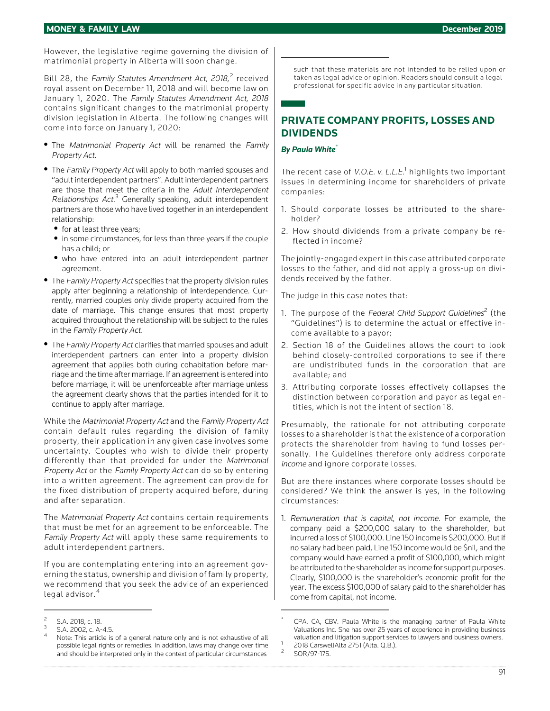However, the legislative regime governing the division of matrimonial property in Alberta will soon change.

Bill 28, the Family Statutes Amendment Act, 2018,<sup>2</sup> received royal assent on December 11, 2018 and will become law on January 1, 2020. The Family Statutes Amendment Act, <sup>2018</sup> contains significant changes to the matrimonial property division legislation in Alberta. The following changes will come into force on January 1, 2020:

- The Matrimonial Property Act will be renamed the Family Property Act.
- The Family Property Act will apply to both married spouses and "adult interdependent partners". Adult interdependent partners are those that meet the criteria in the Adult Interdependent Relationships Act.<sup>3</sup> Generally speaking, adult interdependent partners are those who have lived together in an interdependent relationship:
	- . for at least three years;
	- . in some circumstances, for less than three years if the couple has a child; or
	- . who have entered into an adult interdependent partner agreement.
- The Family Property Act specifies that the property division rules apply after beginning a relationship of interdependence. Currently, married couples only divide property acquired from the date of marriage. This change ensures that most property acquired throughout the relationship will be subject to the rules in the Family Property Act.
- The Family Property Act clarifies that married spouses and adult interdependent partners can enter into a property division agreement that applies both during cohabitation before marriage and the time after marriage. If an agreement is entered into before marriage, it will be unenforceable after marriage unless the agreement clearly shows that the parties intended for it to continue to apply after marriage.

While the Matrimonial Property Act and the Family Property Act contain default rules regarding the division of family property, their application in any given case involves some uncertainty. Couples who wish to divide their property differently than that provided for under the Matrimonial Property Act or the Family Property Act can do so by entering into a written agreement. The agreement can provide for the fixed distribution of property acquired before, during and after separation.

The Matrimonial Property Act contains certain requirements that must be met for an agreement to be enforceable. The Family Property Act will apply these same requirements to adult interdependent partners.

If you are contemplating entering into an agreement governing the status, ownership and division of family property, we recommend that you seek the advice of an experienced legal advisor.<sup>4</sup>

such that these materials are not intended to be relied upon or taken as legal advice or opinion. Readers should consult a legal professional for specific advice in any particular situation.

# **PRIVATE COMPANY PROFITS, LOSSES AND DIVIDENDS**

#### *By Paula White*\*

The recent case of *V.O.E. v. L.L.E.*<sup>1</sup> highlights two important issues in determining income for shareholders of private companies:

- 1. Should corporate losses be attributed to the shareholder?
- 2. How should dividends from a private company be reflected in income?

The jointly-engaged expert in this case attributed corporate losses to the father, and did not apply a gross-up on dividends received by the father.

The judge in this case notes that:

- 1. The purpose of the Federal Child Support Guidelines<sup>2</sup> (the "Guidelines") is to determine the actual or effective income available to a payor;
- 2. Section 18 of the Guidelines allows the court to look behind closely-controlled corporations to see if there are undistributed funds in the corporation that are available; and
- 3. Attributing corporate losses effectively collapses the distinction between corporation and payor as legal entities, which is not the intent of section 18.

Presumably, the rationale for not attributing corporate losses to a shareholder is that the existence of a corporation protects the shareholder from having to fund losses personally. The Guidelines therefore only address corporate income and ignore corporate losses.

But are there instances where corporate losses should be considered? We think the answer is yes, in the following circumstances:

1. Remuneration that is capital, not income. For example, the company paid a \$200,000 salary to the shareholder, but incurred a loss of \$100,000. Line 150 income is \$200,000. But if no salary had been paid, Line 150 income would be \$nil, and the company would have earned a profit of \$100,000, which might be attributed to the shareholder as income for support purposes. Clearly, \$100,000 is the shareholder's economic profit for the year. The excess \$100,000 of salary paid to the shareholder has come from capital, not income.

<sup>5.</sup>A. 2018, c. 18.<br>5.A. 2002, c. A-4.5.<br>Note: This article is of a general nature only and is not exhaustive of all possible legal rights or remedies. In addition, laws may change over time and should be interpreted only in the context of particular circumstances

CPA, CA, CBV. Paula White is the managing partner of Paula White Valuations Inc. She has over 25 years of experience in providing business valuation and litigation support services to lawyers and business owners.<br>
<sup>1</sup> 2018 CarswellAlta 2751 (Alta. Q.B.).<br>
<sup>2</sup> SOR/97-175.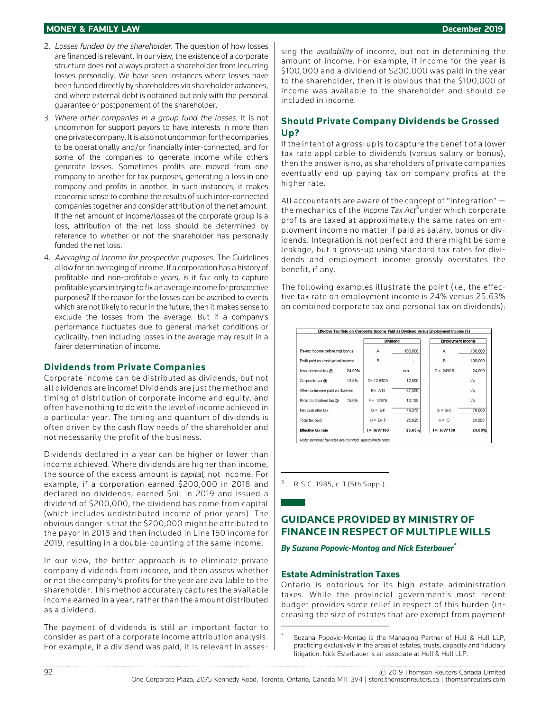## **MONEY & FAMILY LAW December 2019**

- 2. Losses funded by the shareholder. The question of how losses are financed is relevant. In our view, the existence of a corporate structure does not always protect a shareholder from incurring losses personally. We have seen instances where losses have been funded directly by shareholders via shareholder advances, and where external debt is obtained but only with the personal guarantee or postponement of the shareholder.
- 3. Where other companies in <sup>a</sup> group fund the losses. It is not uncommon for support payors to have interests in more than one private company. It is also not uncommon for the companies to be operationally and/or financially inter-connected, and for some of the companies to generate income while others generate losses. Sometimes profits are moved from one company to another for tax purposes, generating a loss in one company and profits in another. In such instances, it makes economic sense to combine the results of such inter-connected companies together and consider attribution of the net amount. If the net amount of income/losses of the corporate group is a loss, attribution of the net loss should be determined by reference to whether or not the shareholder has personally funded the net loss.
- 4. Averaging of income for prospective purposes. The Guidelines allow for an averaging of income. If a corporation has a history of profitable and non-profitable years, is it fair only to capture profitable years in trying to fix an average income for prospective purposes? If the reason for the losses can be ascribed to events which are not likely to recur in the future, then it makes sense to exclude the losses from the average. But if a company's performance fluctuates due to general market conditions or cyclicality, then including losses in the average may result in a fairer determination of income.

## **Dividends from Private Companies**

Corporate income can be distributed as dividends, but not all dividends are income! Dividends are just the method and timing of distribution of corporate income and equity, and often have nothing to do with the level of income achieved in a particular year. The timing and quantum of dividends is often driven by the cash flow needs of the shareholder and not necessarily the profit of the business.

Dividends declared in a year can be higher or lower than income achieved. Where dividends are higher than income, the source of the excess amount is capital, not income. For example, if a corporation earned \$200,000 in 2018 and declared no dividends, earned \$nil in 2019 and issued a dividend of \$200,000, the dividend has come from capital (which includes undistributed income of prior years). The obvious danger is that the \$200,000 might be attributed to the payor in 2018 and then included in Line 150 income for 2019, resulting in a double-counting of the same income.

In our view, the better approach is to eliminate private company dividends from income, and then assess whether or not the company's profits for the year are available to the shareholder. This method accurately captures the available income earned in a year, rather than the amount distributed as a dividend.

The payment of dividends is still an important factor to consider as part of a corporate income attribution analysis. For example, if a dividend was paid, it is relevant in assessing the *availability* of income, but not in determining the amount of income. For example, if income for the year is \$100,000 and a dividend of \$200,000 was paid in the year to the shareholder, then it is obvious that the \$100,000 of income was available to the shareholder and should be included in income.

## **Should Private Company Dividends be Grossed Up?**

If the intent of a gross-up is to capture the benefit of a lower tax rate applicable to dividends (versus salary or bonus), then the answer is no, as shareholders of private companies eventually end up paying tax on company profits at the higher rate.

All accountants are aware of the concept of "integration" the mechanics of the *Income Tax Act*<sup>3</sup>under which corporate profits are taxed at approximately the same rates on employment income no matter if paid as salary, bonus or dividends. Integration is not perfect and there might be some leakage, but a gross-up using standard tax rates for dividends and employment income grossly overstates the benefit, if any.

The following examples illustrate the point (i.e., the effective tax rate on employment income is 24% versus 25.63% on combined corporate tax and personal tax on dividends):

|                                   |        | <b>Dividend</b> |         | <b>Employment Income</b> |         |
|-----------------------------------|--------|-----------------|---------|--------------------------|---------|
| Pre-tax income before mgt bonus   |        | Α               | 100,000 | Α                        | 100,000 |
| Profit paid as employment income  |        | B               |         | B                        | 100,000 |
| Less personal tax $@$             | 24.00% |                 | n/a     | $C = 24\%$ B             | 24,000  |
| Corporate tax @                   | 12.5%  | $D = 12.5%^*A$  | 12,500  |                          | n/a     |
| After-tax income paid as dividend |        | $E = A - D$     | 87,500  |                          | n/a     |
| Personal dividend tax @           | 15.0%  | $F = 15%E$      | 13.125  |                          | n/a     |
| Net cash after tax                |        | $G = EF$        | 74.375  | $G = BC$                 | 76.000  |
| Total tax paid                    |        | $H = D + F$     | 25.625  | $H = C$                  | 24.000  |
| <b>Effective tax rate</b>         |        | $= H/A^* 100$   | 25.63%  | $= H/A^*100$             | 24.00%  |

<sup>3</sup> R.S.C. 1985, c. 1 (5th Supp.).

# **GUIDANCE PROVIDED BY MINISTRY OF FINANCE IN RESPECT OF MULTIPLE WILLS**

*By Suzana Popovic-Montag and Nick Esterbauer\**

## **Estate Administration Taxes**

Ontario is notorious for its high estate administration taxes. While the provincial government's most recent budget provides some relief in respect of this burden (increasing the size of estates that are exempt from payment

Suzana Popovic-Montag is the Managing Partner of Hull & Hull LLP, practicing exclusively in the areas of estates, trusts, capacity and fiduciary litigation. Nick Esterbauer is an associate at Hull & Hull LLP.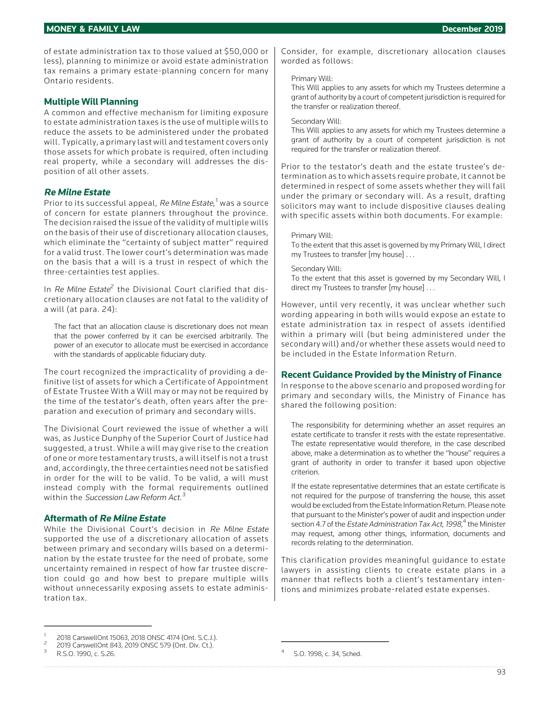of estate administration tax to those valued at \$50,000 or less), planning to minimize or avoid estate administration tax remains a primary estate-planning concern for many Ontario residents.

## **Multiple Will Planning**

A common and effective mechanism for limiting exposure to estate administration taxes is the use of multiple wills to reduce the assets to be administered under the probated will. Typically, a primary last will and testament covers only those assets for which probate is required, often including real property, while a secondary will addresses the disposition of all other assets.

## **Re Milne Estate**

Prior to its successful appeal, *Re Milne Estate*,<sup>1</sup> was a source of concern for estate planners throughout the province. The decision raised the issue of the validity of multiple wills on the basis of their use of discretionary allocation clauses, which eliminate the "certainty of subject matter" required for a valid trust. The lower court's determination was made on the basis that a will is a trust in respect of which the three-certainties test applies.

In  $Re$  Milne Estate<sup>2</sup> the Divisional Court clarified that discretionary allocation clauses are not fatal to the validity of a will (at para. 24):

The fact that an allocation clause is discretionary does not mean that the power conferred by it can be exercised arbitrarily. The power of an executor to allocate must be exercised in accordance with the standards of applicable fiduciary duty.

The court recognized the impracticality of providing a definitive list of assets for which a Certificate of Appointment of Estate Trustee With a Will may or may not be required by the time of the testator's death, often years after the preparation and execution of primary and secondary wills.

The Divisional Court reviewed the issue of whether a will was, as Justice Dunphy of the Superior Court of Justice had suggested, a trust. While a will may give rise to the creation of one or more testamentary trusts, a will itself is not a trust and, accordingly, the three certainties need not be satisfied in order for the will to be valid. To be valid, a will must instead comply with the formal requirements outlined within the Succession Law Reform Act.<sup>3</sup>

## **Aftermath of Re Milne Estate**

While the Divisional Court's decision in Re Milne Estate supported the use of a discretionary allocation of assets between primary and secondary wills based on a determination by the estate trustee for the need of probate, some uncertainty remained in respect of how far trustee discretion could go and how best to prepare multiple wills without unnecessarily exposing assets to estate administration tax.

Consider, for example, discretionary allocation clauses worded as follows:

## Primary Will:

This Will applies to any assets for which my Trustees determine a grant of authority by a court of competent jurisdiction is required for the transfer or realization thereof.

#### Secondary Will:

This Will applies to any assets for which my Trustees determine a grant of authority by a court of competent jurisdiction is not required for the transfer or realization thereof.

Prior to the testator's death and the estate trustee's determination as to which assets require probate, it cannot be determined in respect of some assets whether they will fall under the primary or secondary will. As a result, drafting solicitors may want to include dispositive clauses dealing with specific assets within both documents. For example:

#### Primary Will:

To the extent that this asset is governed by my Primary Will, I direct my Trustees to transfer [my house] . . .

#### Secondary Will:

To the extent that this asset is governed by my Secondary Will, I direct my Trustees to transfer [my house] ...

However, until very recently, it was unclear whether such wording appearing in both wills would expose an estate to estate administration tax in respect of assets identified within a primary will (but being administered under the secondary will) and/or whether these assets would need to be included in the Estate Information Return.

## **Recent Guidance Provided by the Ministry of Finance**

In response to the above scenario and proposed wording for primary and secondary wills, the Ministry of Finance has shared the following position:

The responsibility for determining whether an asset requires an estate certificate to transfer it rests with the estate representative. The estate representative would therefore, in the case described above, make a determination as to whether the "house" requires a grant of authority in order to transfer it based upon objective criterion.

If the estate representative determines that an estate certificate is not required for the purpose of transferring the house, this asset would be excluded from the Estate Information Return. Please note that pursuant to the Minister's power of audit and inspection under section 4.7 of the *Estate Administration Tax Act, 1998*,<sup>4</sup> the Minister may request, among other things, information, documents and records relating to the determination.

This clarification provides meaningful guidance to estate lawyers in assisting clients to create estate plans in a manner that reflects both a client's testamentary intentions and minimizes probate-related estate expenses.

<sup>1 2018</sup> CarswellOnt 15063, 2018 ONSC 4174 (Ont. S.C.J.).<br>
2019 CarswellOnt 843, 2019 ONSC 579 (Ont. Div. Ct.).<br>
R.S.O. 1990, c. S.26. 5 R.S.O. 1998, c. 34, Sched.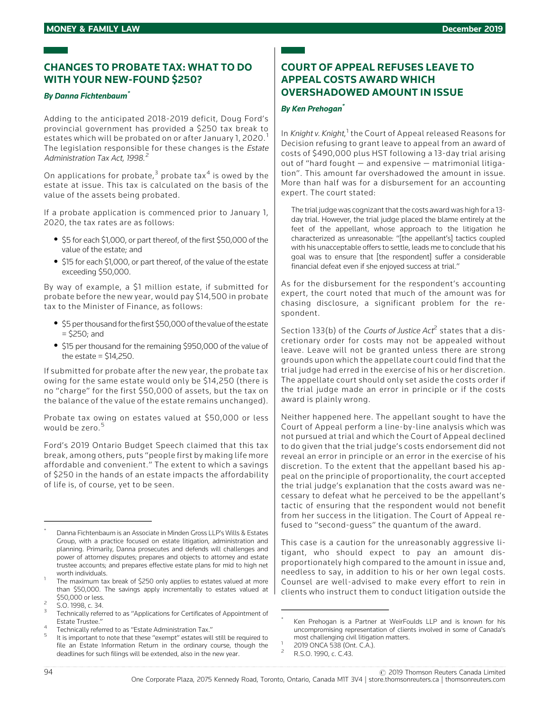# **CHANGES TO PROBATE TAX: WHAT TO DO WITH YOUR NEW-FOUND \$250?**

## *By Danna Fichtenbaum\**

Adding to the anticipated 2018-2019 deficit, Doug Ford's provincial government has provided a \$250 tax break to estates which will be probated on or after January 1, 2020.<sup>1</sup> The legislation responsible for these changes is the Estate Administration Tax Act, 1998.<sup>2</sup>

On applications for probate, $3$  probate tax<sup>4</sup> is owed by the estate at issue. This tax is calculated on the basis of the value of the assets being probated.

If a probate application is commenced prior to January 1, 2020, the tax rates are as follows:

- . \$5 for each \$1,000, or part thereof, of the first \$50,000 of the value of the estate; and
- . \$15 for each \$1,000, or part thereof, of the value of the estate exceeding \$50,000.

By way of example, a \$1 million estate, if submitted for probate before the new year, would pay \$14,500 in probate tax to the Minister of Finance, as follows:

- \$5 per thousand for the first \$50,000 of the value of the estate = \$250; and
- . \$15 per thousand for the remaining \$950,000 of the value of the estate  $=$  \$14,250.

If submitted for probate after the new year, the probate tax owing for the same estate would only be \$14,250 (there is no "charge" for the first \$50,000 of assets, but the tax on the balance of the value of the estate remains unchanged).

Probate tax owing on estates valued at \$50,000 or less would be zero.<sup>5</sup>

Ford's 2019 Ontario Budget Speech claimed that this tax break, among others, puts "people first by making life more affordable and convenient." The extent to which a savings of \$250 in the hands of an estate impacts the affordability of life is, of course, yet to be seen.

# **COURT OF APPEAL REFUSES LEAVE TO APPEAL COSTS AWARD WHICH OVERSHADOWED AMOUNT IN ISSUE**

## *By Ken Prehogan\**

In *Knight* v. Knight,<sup>1</sup> the Court of Appeal released Reasons for Decision refusing to grant leave to appeal from an award of costs of \$490,000 plus HST following a 13-day trial arising out of "hard fought — and expensive — matrimonial litigation". This amount far overshadowed the amount in issue. More than half was for a disbursement for an accounting expert. The court stated:

The trial judge was cognizant that the costs award was high for a 13 day trial. However, the trial judge placed the blame entirely at the feet of the appellant, whose approach to the litigation he characterized as unreasonable: "[the appellant's] tactics coupled with his unacceptable offers to settle, leads me to conclude that his goal was to ensure that [the respondent] suffer a considerable financial defeat even if she enjoyed success at trial."

As for the disbursement for the respondent's accounting expert, the court noted that much of the amount was for chasing disclosure, a significant problem for the respondent.

Section 133(b) of the Courts of Justice Act<sup>2</sup> states that a discretionary order for costs may not be appealed without leave. Leave will not be granted unless there are strong grounds upon which the appellate court could find that the trial judge had erred in the exercise of his or her discretion. The appellate court should only set aside the costs order if the trial judge made an error in principle or if the costs award is plainly wrong.

Neither happened here. The appellant sought to have the Court of Appeal perform a line-by-line analysis which was not pursued at trial and which the Court of Appeal declined to do given that the trial judge's costs endorsement did not reveal an error in principle or an error in the exercise of his discretion. To the extent that the appellant based his appeal on the principle of proportionality, the court accepted the trial judge's explanation that the costs award was necessary to defeat what he perceived to be the appellant's tactic of ensuring that the respondent would not benefit from her success in the litigation. The Court of Appeal refused to "second-guess" the quantum of the award.

This case is a caution for the unreasonably aggressive litigant, who should expect to pay an amount disproportionately high compared to the amount in issue and, needless to say, in addition to his or her own legal costs. Counsel are well-advised to make every effort to rein in clients who instruct them to conduct litigation outside the

Danna Fichtenbaum is an Associate in Minden Gross LLP's Wills & Estates Group, with a practice focused on estate litigation, administration and planning. Primarily, Danna prosecutes and defends will challenges and power of attorney disputes; prepares and objects to attorney and estate trustee accounts; and prepares effective estate plans for mid to high net

worth individuals.<br>The maximum tax break of \$250 only applies to estates valued at more than \$50,000. The savings apply incrementally to estates valued at \$50,000 or less.<br><sup>2</sup> S.O. 1998, c. 34.<br><sup>3</sup> Technically referred to as "Applications for Certificates of Appointment of

Estate Trustee."<br>Technically referred to as "Estate Administration Tax."<br>It is important to note that these "exempt" estates will still be required to

file an Estate Information Return in the ordinary course, though the deadlines for such filings will be extended, also in the new year.

Ken Prehogan is a Partner at WeirFoulds LLP and is known for his uncompromising representation of clients involved in some of Canada's most challenging civil litigation matters.<br>
<sup>1</sup> 2019 ONCA 538 (Ont. C.A.).<br>
<sup>2</sup> R.S.O. 1990, c. C.43.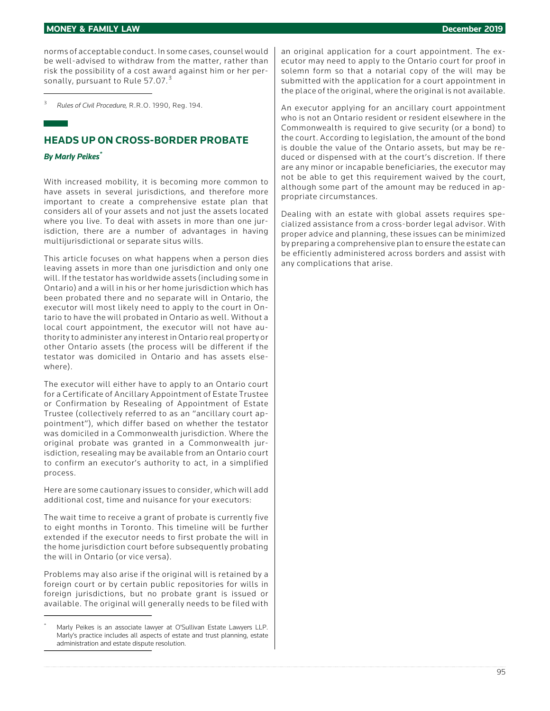#### **MONEY & FAMILY LAW December 2019**

norms of acceptable conduct. In some cases, counsel would be well-advised to withdraw from the matter, rather than risk the possibility of a cost award against him or her personally, pursuant to Rule 57.07.<sup>3</sup>

<sup>3</sup> Rules of Civil Procedure, R.R.O. 1990, Reg. 194.

# **HEADS UP ON CROSS-BORDER PROBATE**

## *By Marly Peikes\**

With increased mobility, it is becoming more common to have assets in several jurisdictions, and therefore more important to create a comprehensive estate plan that considers all of your assets and not just the assets located where you live. To deal with assets in more than one jurisdiction, there are a number of advantages in having multijurisdictional or separate situs wills.

This article focuses on what happens when a person dies leaving assets in more than one jurisdiction and only one will. If the testator has worldwide assets (including some in Ontario) and a will in his or her home jurisdiction which has been probated there and no separate will in Ontario, the executor will most likely need to apply to the court in Ontario to have the will probated in Ontario as well. Without a local court appointment, the executor will not have authority to administer any interest in Ontario real property or other Ontario assets (the process will be different if the testator was domiciled in Ontario and has assets elsewhere).

The executor will either have to apply to an Ontario court for a Certificate of Ancillary Appointment of Estate Trustee or Confirmation by Resealing of Appointment of Estate Trustee (collectively referred to as an "ancillary court appointment"), which differ based on whether the testator was domiciled in a Commonwealth jurisdiction. Where the original probate was granted in a Commonwealth jurisdiction, resealing may be available from an Ontario court to confirm an executor's authority to act, in a simplified process.

Here are some cautionary issues to consider, which will add additional cost, time and nuisance for your executors:

The wait time to receive a grant of probate is currently five to eight months in Toronto. This timeline will be further extended if the executor needs to first probate the will in the home jurisdiction court before subsequently probating the will in Ontario (or vice versa).

Problems may also arise if the original will is retained by a foreign court or by certain public repositories for wills in foreign jurisdictions, but no probate grant is issued or available. The original will generally needs to be filed with an original application for a court appointment. The executor may need to apply to the Ontario court for proof in solemn form so that a notarial copy of the will may be submitted with the application for a court appointment in the place of the original, where the original is not available.

An executor applying for an ancillary court appointment who is not an Ontario resident or resident elsewhere in the Commonwealth is required to give security (or a bond) to the court. According to legislation, the amount of the bond is double the value of the Ontario assets, but may be reduced or dispensed with at the court's discretion. If there are any minor or incapable beneficiaries, the executor may not be able to get this requirement waived by the court, although some part of the amount may be reduced in appropriate circumstances.

Dealing with an estate with global assets requires specialized assistance from a cross-border legal advisor. With proper advice and planning, these issues can be minimized by preparing a comprehensive plan to ensure the estate can be efficiently administered across borders and assist with any complications that arise.

Marly Peikes is an associate lawyer at O'Sullivan Estate Lawyers LLP. Marly's practice includes all aspects of estate and trust planning, estate administration and estate dispute resolution.